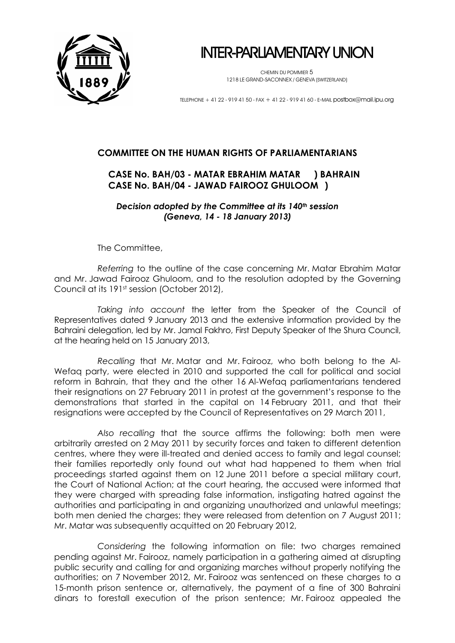

INTER-PARLIAMENTARY UNION

CHEMIN DU POMMIER 5 1218 LE GRAND-SACONNEX / GENEVA (SWITZERLAND)

TELEPHONE + 41 22 - 919 41 50 - FAX + 41 22 - 919 41 60 - E-MAIL postbox@mail.ipu.org

## **COMMITTEE ON THE HUMAN RIGHTS OF PARLIAMENTARIANS**

## **CASE No. BAH/03 - MATAR EBRAHIM MATAR ) BAHRAIN CASE No. BAH/04 - JAWAD FAIROOZ GHULOOM )**

*Decision adopted by the Committee at its 140th session (Geneva, 14 - 18 January 2013)*

The Committee,

*Referring* to the outline of the case concerning Mr. Matar Ebrahim Matar and Mr. Jawad Fairooz Ghuloom, and to the resolution adopted by the Governing Council at its 191st session (October 2012),

*Taking into account* the letter from the Speaker of the Council of Representatives dated 9 January 2013 and the extensive information provided by the Bahraini delegation, led by Mr. Jamal Fakhro, First Deputy Speaker of the Shura Council, at the hearing held on 15 January 2013,

*Recalling* that Mr. Matar and Mr. Fairooz, who both belong to the Al-Wefaq party, were elected in 2010 and supported the call for political and social reform in Bahrain, that they and the other 16 Al-Wefaq parliamentarians tendered their resignations on 27 February 2011 in protest at the government's response to the demonstrations that started in the capital on 14 February 2011, and that their resignations were accepted by the Council of Representatives on 29 March 2011,

*Also recalling* that the source affirms the following: both men were arbitrarily arrested on 2 May 2011 by security forces and taken to different detention centres, where they were ill-treated and denied access to family and legal counsel; their families reportedly only found out what had happened to them when trial proceedings started against them on 12 June 2011 before a special military court, the Court of National Action; at the court hearing, the accused were informed that they were charged with spreading false information, instigating hatred against the authorities and participating in and organizing unauthorized and unlawful meetings; both men denied the charges; they were released from detention on 7 August 2011; Mr. Matar was subsequently acquitted on 20 February 2012,

*Considering* the following information on file: two charges remained pending against Mr. Fairooz, namely participation in a gathering aimed at disrupting public security and calling for and organizing marches without properly notifying the authorities; on 7 November 2012, Mr. Fairooz was sentenced on these charges to a 15-month prison sentence or, alternatively, the payment of a fine of 300 Bahraini dinars to forestall execution of the prison sentence; Mr. Fairooz appealed the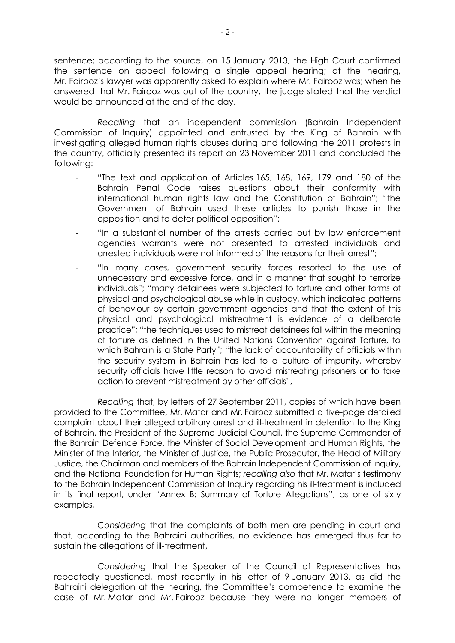sentence; according to the source, on 15 January 2013, the High Court confirmed the sentence on appeal following a single appeal hearing; at the hearing, Mr. Fairooz's lawyer was apparently asked to explain where Mr. Fairooz was; when he answered that Mr. Fairooz was out of the country, the judge stated that the verdict would be announced at the end of the day,

*Recalling* that an independent commission (Bahrain Independent Commission of Inquiry) appointed and entrusted by the King of Bahrain with investigating alleged human rights abuses during and following the 2011 protests in the country, officially presented its report on 23 November 2011 and concluded the following:

- "The text and application of Articles 165, 168, 169, 179 and 180 of the Bahrain Penal Code raises questions about their conformity with international human rights law and the Constitution of Bahrain"; "the Government of Bahrain used these articles to punish those in the opposition and to deter political opposition";
- "In a substantial number of the arrests carried out by law enforcement agencies warrants were not presented to arrested individuals and arrested individuals were not informed of the reasons for their arrest";
- "In many cases, government security forces resorted to the use of unnecessary and excessive force, and in a manner that sought to terrorize individuals"; "many detainees were subjected to torture and other forms of physical and psychological abuse while in custody, which indicated patterns of behaviour by certain government agencies and that the extent of this physical and psychological mistreatment is evidence of a deliberate practice"; "the techniques used to mistreat detainees fall within the meaning of torture as defined in the United Nations Convention against Torture, to which Bahrain is a State Party"; "the lack of accountability of officials within the security system in Bahrain has led to a culture of impunity, whereby security officials have little reason to avoid mistreating prisoners or to take action to prevent mistreatment by other officials",

*Recalling* that, by letters of 27 September 2011, copies of which have been provided to the Committee, Mr. Matar and Mr. Fairooz submitted a five-page detailed complaint about their alleged arbitrary arrest and ill-treatment in detention to the King of Bahrain, the President of the Supreme Judicial Council, the Supreme Commander of the Bahrain Defence Force, the Minister of Social Development and Human Rights, the Minister of the Interior, the Minister of Justice, the Public Prosecutor, the Head of Military Justice, the Chairman and members of the Bahrain Independent Commission of Inquiry, and the National Foundation for Human Rights; *recalling also* that Mr. Matar's testimony to the Bahrain Independent Commission of Inquiry regarding his ill-treatment is included in its final report, under "Annex B: Summary of Torture Allegations", as one of sixty examples,

*Considering* that the complaints of both men are pending in court and that, according to the Bahraini authorities, no evidence has emerged thus far to sustain the allegations of ill-treatment,

*Considering* that the Speaker of the Council of Representatives has repeatedly questioned, most recently in his letter of 9 January 2013, as did the Bahraini delegation at the hearing, the Committee's competence to examine the case of Mr. Matar and Mr. Fairooz because they were no longer members of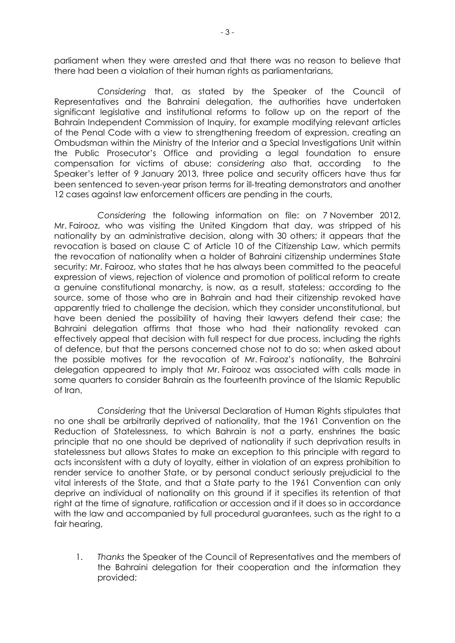parliament when they were arrested and that there was no reason to believe that there had been a violation of their human rights as parliamentarians,

*Considering* that, as stated by the Speaker of the Council of Representatives and the Bahraini delegation, the authorities have undertaken significant legislative and institutional reforms to follow up on the report of the Bahrain Independent Commission of Inquiry, for example modifying relevant articles of the Penal Code with a view to strengthening freedom of expression, creating an Ombudsman within the Ministry of the Interior and a Special Investigations Unit within the Public Prosecutor's Office and providing a legal foundation to ensure compensation for victims of abuse; *considering also* that, according to the Speaker's letter of 9 January 2013, three police and security officers have thus far been sentenced to seven-year prison terms for ill-treating demonstrators and another 12 cases against law enforcement officers are pending in the courts,

*Considering* the following information on file: on 7 November 2012, Mr. Fairooz, who was visiting the United Kingdom that day, was stripped of his nationality by an administrative decision, along with 30 others; it appears that the revocation is based on clause C of Article 10 of the Citizenship Law, which permits the revocation of nationality when a holder of Bahraini citizenship undermines State security; Mr. Fairooz, who states that he has always been committed to the peaceful expression of views, rejection of violence and promotion of political reform to create a genuine constitutional monarchy, is now, as a result, stateless; according to the source, some of those who are in Bahrain and had their citizenship revoked have apparently tried to challenge the decision, which they consider unconstitutional, but have been denied the possibility of having their lawyers defend their case; the Bahraini delegation affirms that those who had their nationality revoked can effectively appeal that decision with full respect for due process, including the rights of defence, but that the persons concerned chose not to do so; when asked about the possible motives for the revocation of Mr. Fairooz's nationality, the Bahraini delegation appeared to imply that Mr. Fairooz was associated with calls made in some quarters to consider Bahrain as the fourteenth province of the Islamic Republic of Iran,

*Considering* that the Universal Declaration of Human Rights stipulates that no one shall be arbitrarily deprived of nationality, that the 1961 Convention on the Reduction of Statelessness, to which Bahrain is not a party, enshrines the basic principle that no one should be deprived of nationality if such deprivation results in statelessness but allows States to make an exception to this principle with regard to acts inconsistent with a duty of loyalty, either in violation of an express prohibition to render service to another State, or by personal conduct seriously prejudicial to the vital interests of the State, and that a State party to the 1961 Convention can only deprive an individual of nationality on this ground if it specifies its retention of that right at the time of signature, ratification or accession and if it does so in accordance with the law and accompanied by full procedural guarantees, such as the right to a fair hearing,

1. *Thanks* the Speaker of the Council of Representatives and the members of the Bahraini delegation for their cooperation and the information they provided;